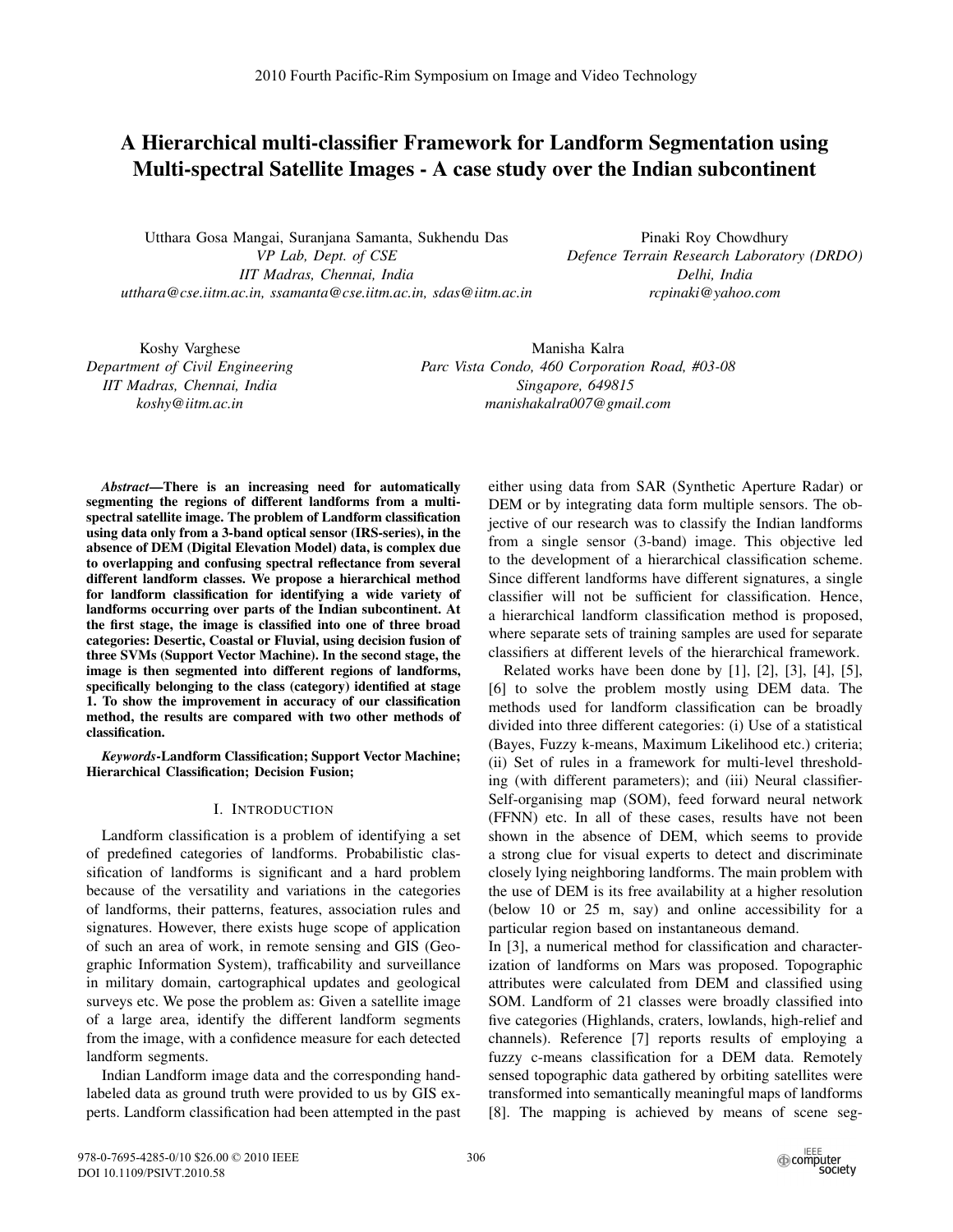# A Hierarchical multi-classifier Framework for Landform Segmentation using Multi-spectral Satellite Images - A case study over the Indian subcontinent

Utthara Gosa Mangai, Suranjana Samanta, Sukhendu Das *VP Lab, Dept. of CSE IIT Madras, Chennai, India utthara@cse.iitm.ac.in, ssamanta@cse.iitm.ac.in, sdas@iitm.ac.in*

Pinaki Roy Chowdhury *Defence Terrain Research Laboratory (DRDO) Delhi, India rcpinaki@yahoo.com*

Koshy Varghese *Department of Civil Engineering IIT Madras, Chennai, India koshy@iitm.ac.in*

Manisha Kalra *Parc Vista Condo, 460 Corporation Road, #03-08 Singapore, 649815 manishakalra007@gmail.com*

*Abstract*—There is an increasing need for automatically segmenting the regions of different landforms from a multispectral satellite image. The problem of Landform classification using data only from a 3-band optical sensor (IRS-series), in the absence of DEM (Digital Elevation Model) data, is complex due to overlapping and confusing spectral reflectance from several different landform classes. We propose a hierarchical method for landform classification for identifying a wide variety of landforms occurring over parts of the Indian subcontinent. At the first stage, the image is classified into one of three broad categories: Desertic, Coastal or Fluvial, using decision fusion of three SVMs (Support Vector Machine). In the second stage, the image is then segmented into different regions of landforms, specifically belonging to the class (category) identified at stage 1. To show the improvement in accuracy of our classification method, the results are compared with two other methods of classification.

*Keywords*-Landform Classification; Support Vector Machine; Hierarchical Classification; Decision Fusion;

#### I. INTRODUCTION

Landform classification is a problem of identifying a set of predefined categories of landforms. Probabilistic classification of landforms is significant and a hard problem because of the versatility and variations in the categories of landforms, their patterns, features, association rules and signatures. However, there exists huge scope of application of such an area of work, in remote sensing and GIS (Geographic Information System), trafficability and surveillance in military domain, cartographical updates and geological surveys etc. We pose the problem as: Given a satellite image of a large area, identify the different landform segments from the image, with a confidence measure for each detected landform segments.

Indian Landform image data and the corresponding handlabeled data as ground truth were provided to us by GIS experts. Landform classification had been attempted in the past either using data from SAR (Synthetic Aperture Radar) or DEM or by integrating data form multiple sensors. The objective of our research was to classify the Indian landforms from a single sensor (3-band) image. This objective led to the development of a hierarchical classification scheme. Since different landforms have different signatures, a single classifier will not be sufficient for classification. Hence, a hierarchical landform classification method is proposed, where separate sets of training samples are used for separate classifiers at different levels of the hierarchical framework.

Related works have been done by  $[1]$ ,  $[2]$ ,  $[3]$ ,  $[4]$ ,  $[5]$ , [6] to solve the problem mostly using DEM data. The methods used for landform classification can be broadly divided into three different categories: (i) Use of a statistical (Bayes, Fuzzy k-means, Maximum Likelihood etc.) criteria; (ii) Set of rules in a framework for multi-level thresholding (with different parameters); and (iii) Neural classifier-Self-organising map (SOM), feed forward neural network (FFNN) etc. In all of these cases, results have not been shown in the absence of DEM, which seems to provide a strong clue for visual experts to detect and discriminate closely lying neighboring landforms. The main problem with the use of DEM is its free availability at a higher resolution (below 10 or 25 m, say) and online accessibility for a particular region based on instantaneous demand.

In [3], a numerical method for classification and characterization of landforms on Mars was proposed. Topographic attributes were calculated from DEM and classified using SOM. Landform of 21 classes were broadly classified into five categories (Highlands, craters, lowlands, high-relief and channels). Reference [7] reports results of employing a fuzzy c-means classification for a DEM data. Remotely sensed topographic data gathered by orbiting satellites were transformed into semantically meaningful maps of landforms [8]. The mapping is achieved by means of scene seg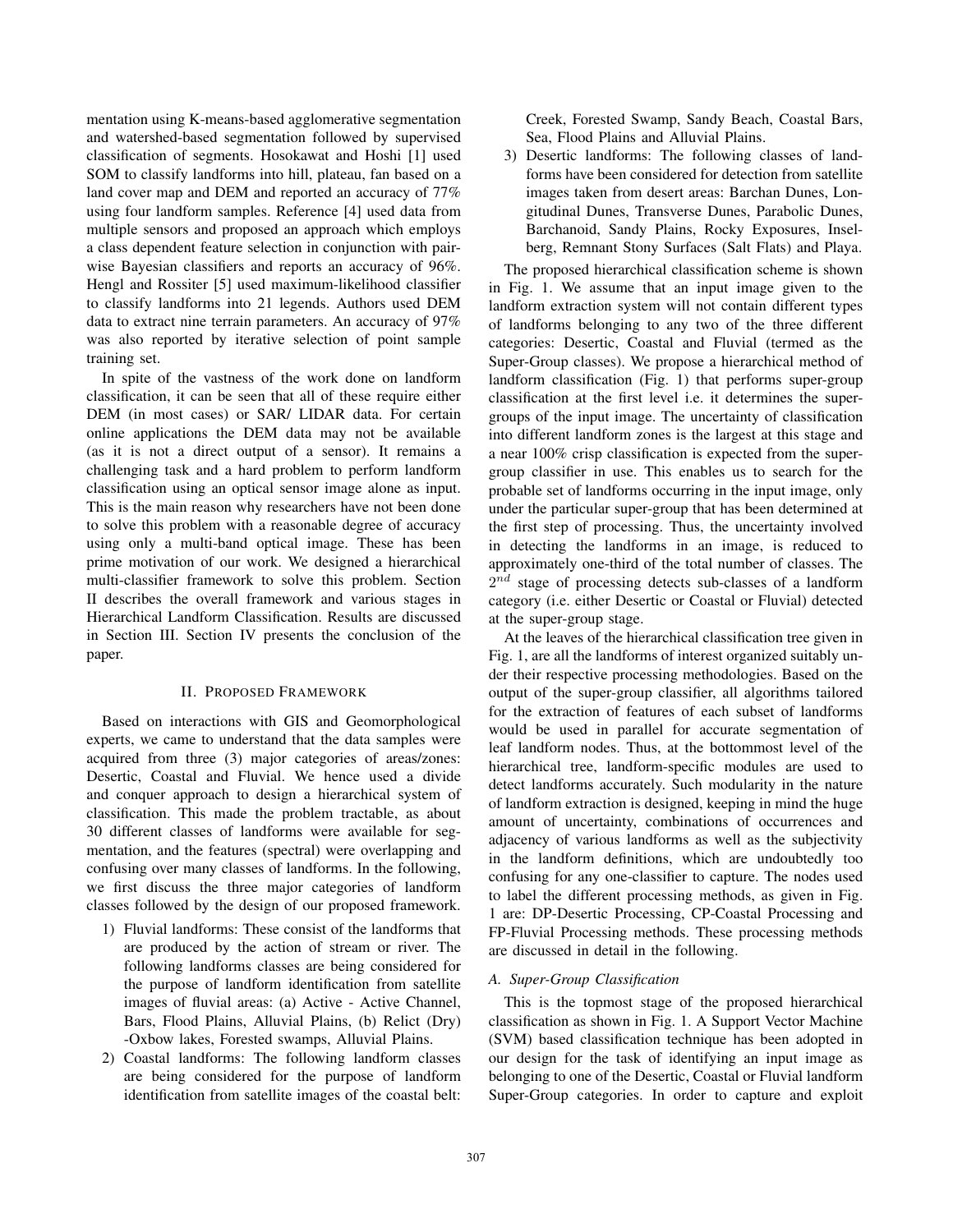mentation using K-means-based agglomerative segmentation and watershed-based segmentation followed by supervised classification of segments. Hosokawat and Hoshi [1] used SOM to classify landforms into hill, plateau, fan based on a land cover map and DEM and reported an accuracy of 77% using four landform samples. Reference [4] used data from multiple sensors and proposed an approach which employs a class dependent feature selection in conjunction with pairwise Bayesian classifiers and reports an accuracy of 96%. Hengl and Rossiter [5] used maximum-likelihood classifier to classify landforms into 21 legends. Authors used DEM data to extract nine terrain parameters. An accuracy of 97% was also reported by iterative selection of point sample training set.

In spite of the vastness of the work done on landform classification, it can be seen that all of these require either DEM (in most cases) or SAR/ LIDAR data. For certain online applications the DEM data may not be available (as it is not a direct output of a sensor). It remains a challenging task and a hard problem to perform landform classification using an optical sensor image alone as input. This is the main reason why researchers have not been done to solve this problem with a reasonable degree of accuracy using only a multi-band optical image. These has been prime motivation of our work. We designed a hierarchical multi-classifier framework to solve this problem. Section II describes the overall framework and various stages in Hierarchical Landform Classification. Results are discussed in Section III. Section IV presents the conclusion of the paper.

# II. PROPOSED FRAMEWORK

Based on interactions with GIS and Geomorphological experts, we came to understand that the data samples were acquired from three (3) major categories of areas/zones: Desertic, Coastal and Fluvial. We hence used a divide and conquer approach to design a hierarchical system of classification. This made the problem tractable, as about 30 different classes of landforms were available for segmentation, and the features (spectral) were overlapping and confusing over many classes of landforms. In the following, we first discuss the three major categories of landform classes followed by the design of our proposed framework.

- 1) Fluvial landforms: These consist of the landforms that are produced by the action of stream or river. The following landforms classes are being considered for the purpose of landform identification from satellite images of fluvial areas: (a) Active - Active Channel, Bars, Flood Plains, Alluvial Plains, (b) Relict (Dry) -Oxbow lakes, Forested swamps, Alluvial Plains.
- 2) Coastal landforms: The following landform classes are being considered for the purpose of landform identification from satellite images of the coastal belt:

Creek, Forested Swamp, Sandy Beach, Coastal Bars, Sea, Flood Plains and Alluvial Plains.

3) Desertic landforms: The following classes of landforms have been considered for detection from satellite images taken from desert areas: Barchan Dunes, Longitudinal Dunes, Transverse Dunes, Parabolic Dunes, Barchanoid, Sandy Plains, Rocky Exposures, Inselberg, Remnant Stony Surfaces (Salt Flats) and Playa.

The proposed hierarchical classification scheme is shown in Fig. 1. We assume that an input image given to the landform extraction system will not contain different types of landforms belonging to any two of the three different categories: Desertic, Coastal and Fluvial (termed as the Super-Group classes). We propose a hierarchical method of landform classification (Fig. 1) that performs super-group classification at the first level i.e. it determines the supergroups of the input image. The uncertainty of classification into different landform zones is the largest at this stage and a near 100% crisp classification is expected from the supergroup classifier in use. This enables us to search for the probable set of landforms occurring in the input image, only under the particular super-group that has been determined at the first step of processing. Thus, the uncertainty involved in detecting the landforms in an image, is reduced to approximately one-third of the total number of classes. The  $2^{nd}$  stage of processing detects sub-classes of a landform category (i.e. either Desertic or Coastal or Fluvial) detected at the super-group stage.

At the leaves of the hierarchical classification tree given in Fig. 1, are all the landforms of interest organized suitably under their respective processing methodologies. Based on the output of the super-group classifier, all algorithms tailored for the extraction of features of each subset of landforms would be used in parallel for accurate segmentation of leaf landform nodes. Thus, at the bottommost level of the hierarchical tree, landform-specific modules are used to detect landforms accurately. Such modularity in the nature of landform extraction is designed, keeping in mind the huge amount of uncertainty, combinations of occurrences and adjacency of various landforms as well as the subjectivity in the landform definitions, which are undoubtedly too confusing for any one-classifier to capture. The nodes used to label the different processing methods, as given in Fig. 1 are: DP-Desertic Processing, CP-Coastal Processing and FP-Fluvial Processing methods. These processing methods are discussed in detail in the following.

# *A. Super-Group Classification*

This is the topmost stage of the proposed hierarchical classification as shown in Fig. 1. A Support Vector Machine (SVM) based classification technique has been adopted in our design for the task of identifying an input image as belonging to one of the Desertic, Coastal or Fluvial landform Super-Group categories. In order to capture and exploit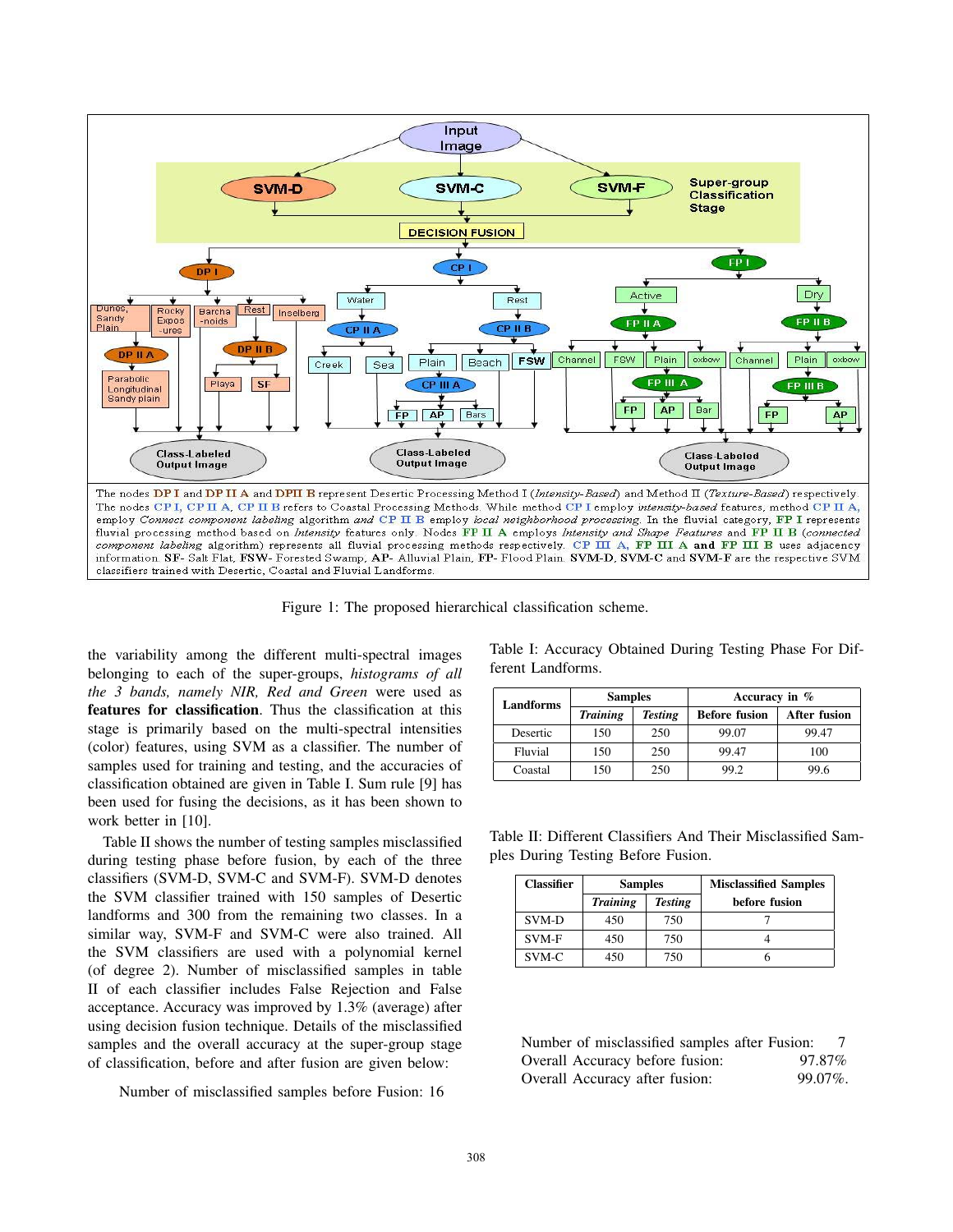

Figure 1: The proposed hierarchical classification scheme.

the variability among the different multi-spectral images belonging to each of the super-groups, *histograms of all the 3 bands, namely NIR, Red and Green* were used as features for classification. Thus the classification at this stage is primarily based on the multi-spectral intensities (color) features, using SVM as a classifier. The number of samples used for training and testing, and the accuracies of classification obtained are given in Table I. Sum rule [9] has been used for fusing the decisions, as it has been shown to work better in [10].

classifiers trained with Desertic, Coastal and Fluvial Landforms.

Table II shows the number of testing samples misclassified during testing phase before fusion, by each of the three classifiers (SVM-D, SVM-C and SVM-F). SVM-D denotes the SVM classifier trained with 150 samples of Desertic landforms and 300 from the remaining two classes. In a similar way, SVM-F and SVM-C were also trained. All the SVM classifiers are used with a polynomial kernel (of degree 2). Number of misclassified samples in table II of each classifier includes False Rejection and False acceptance. Accuracy was improved by 1.3% (average) after using decision fusion technique. Details of the misclassified samples and the overall accuracy at the super-group stage of classification, before and after fusion are given below:

Number of misclassified samples before Fusion: 16

|  | Table I: Accuracy Obtained During Testing Phase For Dif- |  |  |  |
|--|----------------------------------------------------------|--|--|--|
|  | ferent Landforms.                                        |  |  |  |

| Landforms | <b>Samples</b>  |                | Accuracy in %        |                     |  |
|-----------|-----------------|----------------|----------------------|---------------------|--|
|           | <b>Training</b> | <b>Testing</b> | <b>Before fusion</b> | <b>After fusion</b> |  |
| Desertic  | 150             | 250            | 99.07                | 99.47               |  |
| Fluvial   | 150             | 250            | 99.47                | 100                 |  |
| Coastal   | 150             | 250            | 99.2                 | 99.6                |  |

Table II: Different Classifiers And Their Misclassified Samples During Testing Before Fusion.

| <b>Classifier</b> | <b>Samples</b>  |                | <b>Misclassified Samples</b> |
|-------------------|-----------------|----------------|------------------------------|
|                   | <b>Training</b> | <b>Testing</b> | before fusion                |
| SVM-D             | 450             | 750            |                              |
| SVM-F             | 450             | 750            |                              |
| SVM-C             | 450             | 750            |                              |

| Number of misclassified samples after Fusion: |             |
|-----------------------------------------------|-------------|
| Overall Accuracy before fusion:               | 97.87%      |
| Overall Accuracy after fusion:                | $99.07\%$ . |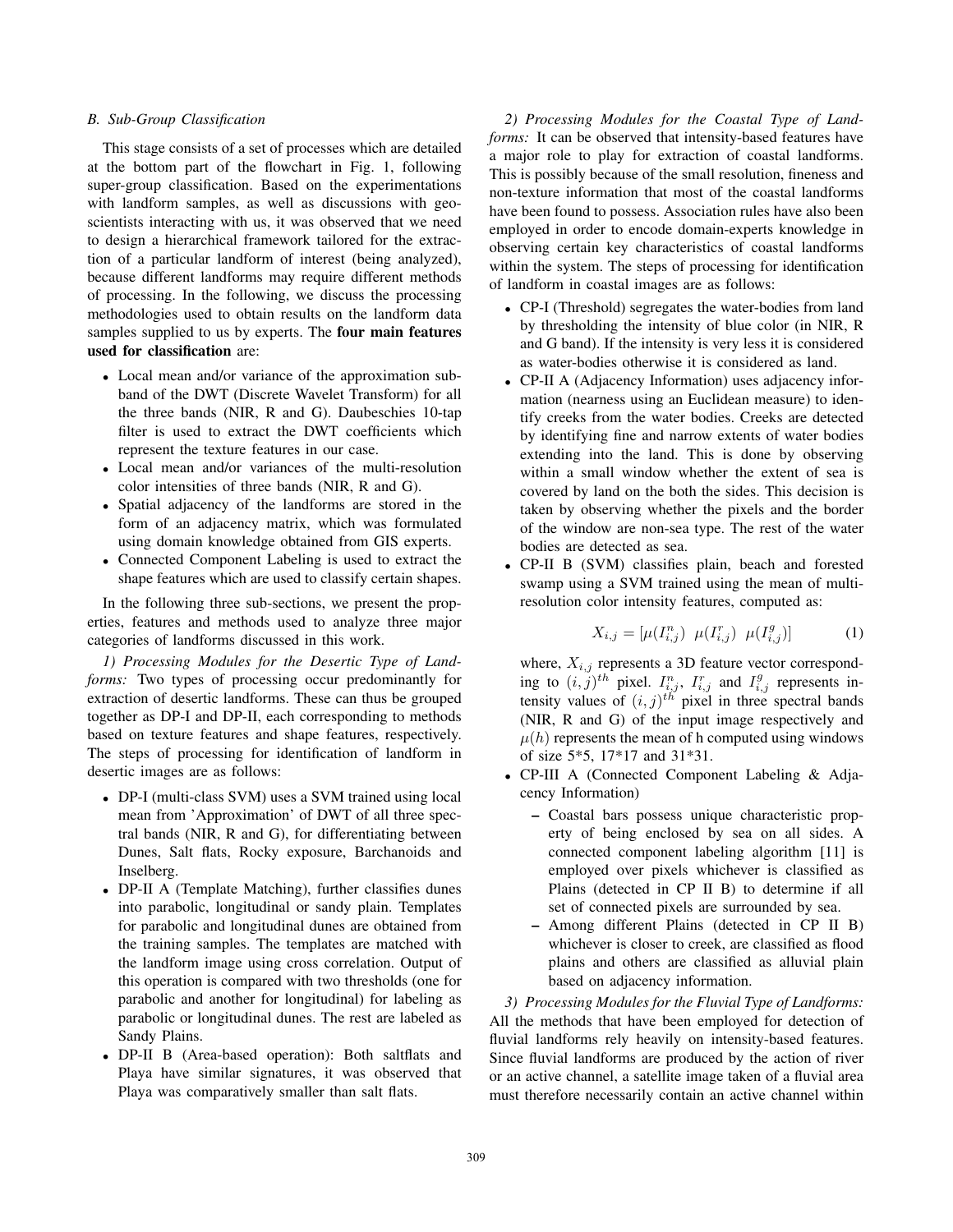## *B. Sub-Group Classification*

This stage consists of a set of processes which are detailed at the bottom part of the flowchart in Fig. 1, following super-group classification. Based on the experimentations with landform samples, as well as discussions with geoscientists interacting with us, it was observed that we need to design a hierarchical framework tailored for the extraction of a particular landform of interest (being analyzed), because different landforms may require different methods of processing. In the following, we discuss the processing methodologies used to obtain results on the landform data samples supplied to us by experts. The four main features used for classification are:

- Local mean and/or variance of the approximation subband of the DWT (Discrete Wavelet Transform) for all the three bands (NIR, R and G). Daubeschies 10-tap filter is used to extract the DWT coefficients which represent the texture features in our case.
- Local mean and/or variances of the multi-resolution color intensities of three bands (NIR, R and G).
- Spatial adjacency of the landforms are stored in the form of an adjacency matrix, which was formulated using domain knowledge obtained from GIS experts.
- Connected Component Labeling is used to extract the shape features which are used to classify certain shapes.

In the following three sub-sections, we present the properties, features and methods used to analyze three major categories of landforms discussed in this work.

*1) Processing Modules for the Desertic Type of Landforms:* Two types of processing occur predominantly for extraction of desertic landforms. These can thus be grouped together as DP-I and DP-II, each corresponding to methods based on texture features and shape features, respectively. The steps of processing for identification of landform in desertic images are as follows:

- DP-I (multi-class SVM) uses a SVM trained using local mean from 'Approximation' of DWT of all three spectral bands (NIR, R and G), for differentiating between Dunes, Salt flats, Rocky exposure, Barchanoids and Inselberg.
- DP-II A (Template Matching), further classifies dunes into parabolic, longitudinal or sandy plain. Templates for parabolic and longitudinal dunes are obtained from the training samples. The templates are matched with the landform image using cross correlation. Output of this operation is compared with two thresholds (one for parabolic and another for longitudinal) for labeling as parabolic or longitudinal dunes. The rest are labeled as Sandy Plains.
- DP-II B (Area-based operation): Both saltflats and Playa have similar signatures, it was observed that Playa was comparatively smaller than salt flats.

*2) Processing Modules for the Coastal Type of Landforms:* It can be observed that intensity-based features have a major role to play for extraction of coastal landforms. This is possibly because of the small resolution, fineness and non-texture information that most of the coastal landforms have been found to possess. Association rules have also been employed in order to encode domain-experts knowledge in observing certain key characteristics of coastal landforms within the system. The steps of processing for identification of landform in coastal images are as follows:

- CP-I (Threshold) segregates the water-bodies from land by thresholding the intensity of blue color (in NIR, R and G band). If the intensity is very less it is considered as water-bodies otherwise it is considered as land.
- CP-II A (Adjacency Information) uses adjacency information (nearness using an Euclidean measure) to identify creeks from the water bodies. Creeks are detected by identifying fine and narrow extents of water bodies extending into the land. This is done by observing within a small window whether the extent of sea is covered by land on the both the sides. This decision is taken by observing whether the pixels and the border of the window are non-sea type. The rest of the water bodies are detected as sea.
- CP-II B (SVM) classifies plain, beach and forested swamp using a SVM trained using the mean of multiresolution color intensity features, computed as:

$$
X_{i,j} = [\mu(I_{i,j}^n) \ \mu(I_{i,j}^r) \ \mu(I_{i,j}^g)] \tag{1}
$$

where,  $X_{i,j}$  represents a 3D feature vector corresponding to  $(i, j)$ <sup>th</sup> pixel.  $I_{i,j}^n$ ,  $I_{i,j}^r$  and  $I_{i,j}^g$  represents intensity values of  $(i, j)^{th}$  pixel in three spectral bands (NIR, R and G) of the input image respectively and  $\mu(h)$  represents the mean of h computed using windows of size 5\*5, 17\*17 and 31\*31.

- CP-III A (Connected Component Labeling & Adjacency Information)
	- Coastal bars possess unique characteristic property of being enclosed by sea on all sides. A connected component labeling algorithm [11] is employed over pixels whichever is classified as Plains (detected in CP II B) to determine if all set of connected pixels are surrounded by sea.
	- Among different Plains (detected in CP II B) whichever is closer to creek, are classified as flood plains and others are classified as alluvial plain based on adjacency information.

*3) Processing Modules for the Fluvial Type of Landforms:* All the methods that have been employed for detection of fluvial landforms rely heavily on intensity-based features. Since fluvial landforms are produced by the action of river or an active channel, a satellite image taken of a fluvial area must therefore necessarily contain an active channel within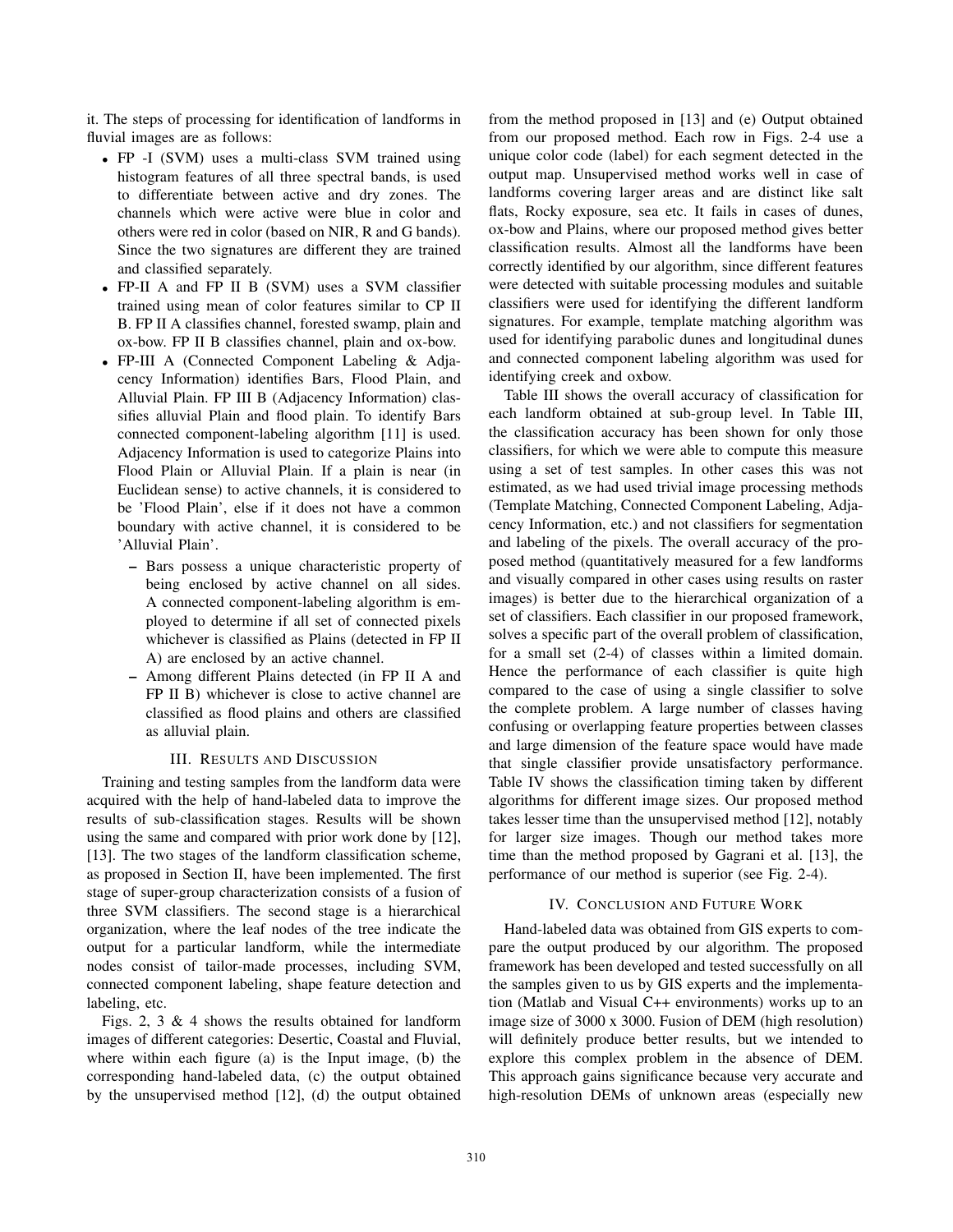it. The steps of processing for identification of landforms in fluvial images are as follows:

- FP -I (SVM) uses a multi-class SVM trained using histogram features of all three spectral bands, is used to differentiate between active and dry zones. The channels which were active were blue in color and others were red in color (based on NIR, R and G bands). Since the two signatures are different they are trained and classified separately.
- FP-II A and FP II B (SVM) uses a SVM classifier trained using mean of color features similar to CP II B. FP II A classifies channel, forested swamp, plain and ox-bow. FP II B classifies channel, plain and ox-bow.
- FP-III A (Connected Component Labeling & Adjacency Information) identifies Bars, Flood Plain, and Alluvial Plain. FP III B (Adjacency Information) classifies alluvial Plain and flood plain. To identify Bars connected component-labeling algorithm [11] is used. Adjacency Information is used to categorize Plains into Flood Plain or Alluvial Plain. If a plain is near (in Euclidean sense) to active channels, it is considered to be 'Flood Plain', else if it does not have a common boundary with active channel, it is considered to be 'Alluvial Plain'.
	- Bars possess a unique characteristic property of being enclosed by active channel on all sides. A connected component-labeling algorithm is employed to determine if all set of connected pixels whichever is classified as Plains (detected in FP II A) are enclosed by an active channel.
	- Among different Plains detected (in FP II A and FP II B) whichever is close to active channel are classified as flood plains and others are classified as alluvial plain.

### III. RESULTS AND DISCUSSION

Training and testing samples from the landform data were acquired with the help of hand-labeled data to improve the results of sub-classification stages. Results will be shown using the same and compared with prior work done by [12], [13]. The two stages of the landform classification scheme, as proposed in Section II, have been implemented. The first stage of super-group characterization consists of a fusion of three SVM classifiers. The second stage is a hierarchical organization, where the leaf nodes of the tree indicate the output for a particular landform, while the intermediate nodes consist of tailor-made processes, including SVM, connected component labeling, shape feature detection and labeling, etc.

Figs. 2, 3  $\&$  4 shows the results obtained for landform images of different categories: Desertic, Coastal and Fluvial, where within each figure (a) is the Input image, (b) the corresponding hand-labeled data, (c) the output obtained by the unsupervised method [12], (d) the output obtained from the method proposed in [13] and (e) Output obtained from our proposed method. Each row in Figs. 2-4 use a unique color code (label) for each segment detected in the output map. Unsupervised method works well in case of landforms covering larger areas and are distinct like salt flats, Rocky exposure, sea etc. It fails in cases of dunes, ox-bow and Plains, where our proposed method gives better classification results. Almost all the landforms have been correctly identified by our algorithm, since different features were detected with suitable processing modules and suitable classifiers were used for identifying the different landform signatures. For example, template matching algorithm was used for identifying parabolic dunes and longitudinal dunes and connected component labeling algorithm was used for identifying creek and oxbow.

Table III shows the overall accuracy of classification for each landform obtained at sub-group level. In Table III, the classification accuracy has been shown for only those classifiers, for which we were able to compute this measure using a set of test samples. In other cases this was not estimated, as we had used trivial image processing methods (Template Matching, Connected Component Labeling, Adjacency Information, etc.) and not classifiers for segmentation and labeling of the pixels. The overall accuracy of the proposed method (quantitatively measured for a few landforms and visually compared in other cases using results on raster images) is better due to the hierarchical organization of a set of classifiers. Each classifier in our proposed framework, solves a specific part of the overall problem of classification, for a small set (2-4) of classes within a limited domain. Hence the performance of each classifier is quite high compared to the case of using a single classifier to solve the complete problem. A large number of classes having confusing or overlapping feature properties between classes and large dimension of the feature space would have made that single classifier provide unsatisfactory performance. Table IV shows the classification timing taken by different algorithms for different image sizes. Our proposed method takes lesser time than the unsupervised method [12], notably for larger size images. Though our method takes more time than the method proposed by Gagrani et al. [13], the performance of our method is superior (see Fig. 2-4).

## IV. CONCLUSION AND FUTURE WORK

Hand-labeled data was obtained from GIS experts to compare the output produced by our algorithm. The proposed framework has been developed and tested successfully on all the samples given to us by GIS experts and the implementation (Matlab and Visual C++ environments) works up to an image size of 3000 x 3000. Fusion of DEM (high resolution) will definitely produce better results, but we intended to explore this complex problem in the absence of DEM. This approach gains significance because very accurate and high-resolution DEMs of unknown areas (especially new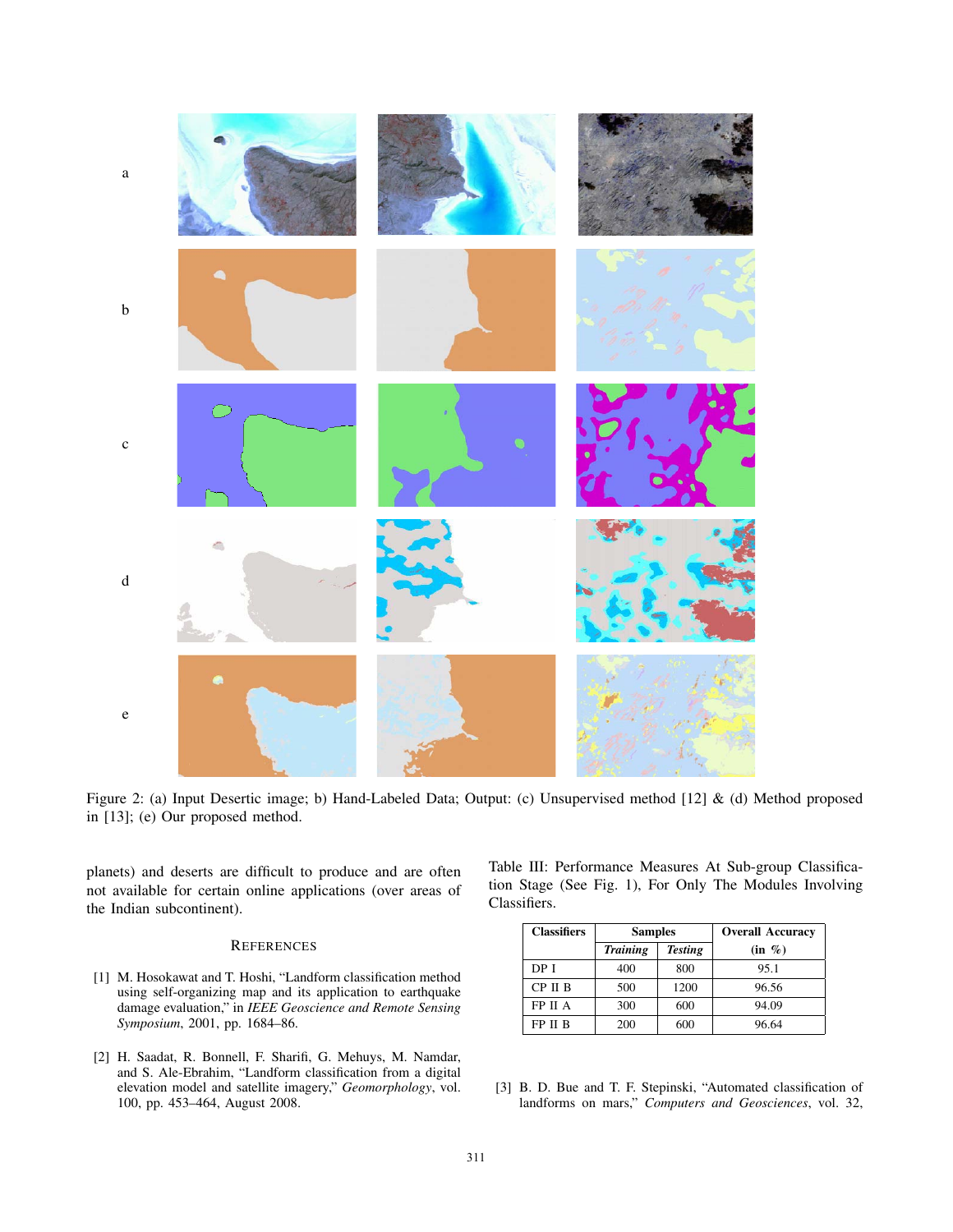

Figure 2: (a) Input Desertic image; b) Hand-Labeled Data; Output: (c) Unsupervised method [12] & (d) Method proposed in [13]; (e) Our proposed method.

planets) and deserts are difficult to produce and are often not available for certain online applications (over areas of the Indian subcontinent).

#### **REFERENCES**

- [1] M. Hosokawat and T. Hoshi, "Landform classification method using self-organizing map and its application to earthquake damage evaluation," in *IEEE Geoscience and Remote Sensing Symposium*, 2001, pp. 1684–86.
- [2] H. Saadat, R. Bonnell, F. Sharifi, G. Mehuys, M. Namdar, and S. Ale-Ebrahim, "Landform classification from a digital elevation model and satellite imagery," *Geomorphology*, vol. 100, pp. 453–464, August 2008.

Table III: Performance Measures At Sub-group Classification Stage (See Fig. 1), For Only The Modules Involving Classifiers.

| <b>Classifiers</b> | <b>Samples</b>  |                | <b>Overall Accuracy</b> |  |  |
|--------------------|-----------------|----------------|-------------------------|--|--|
|                    | <b>Training</b> | <b>Testing</b> | $(in \, \%)$            |  |  |
| DP I               | 400             | 800            | 95.1                    |  |  |
| <b>CPILB</b>       | 500             | 1200           | 96.56                   |  |  |
| FP II A            | 300             | 600            | 94.09                   |  |  |
| FP II B            | 200             | 600            | 96.64                   |  |  |

[3] B. D. Bue and T. F. Stepinski, "Automated classification of landforms on mars," *Computers and Geosciences*, vol. 32,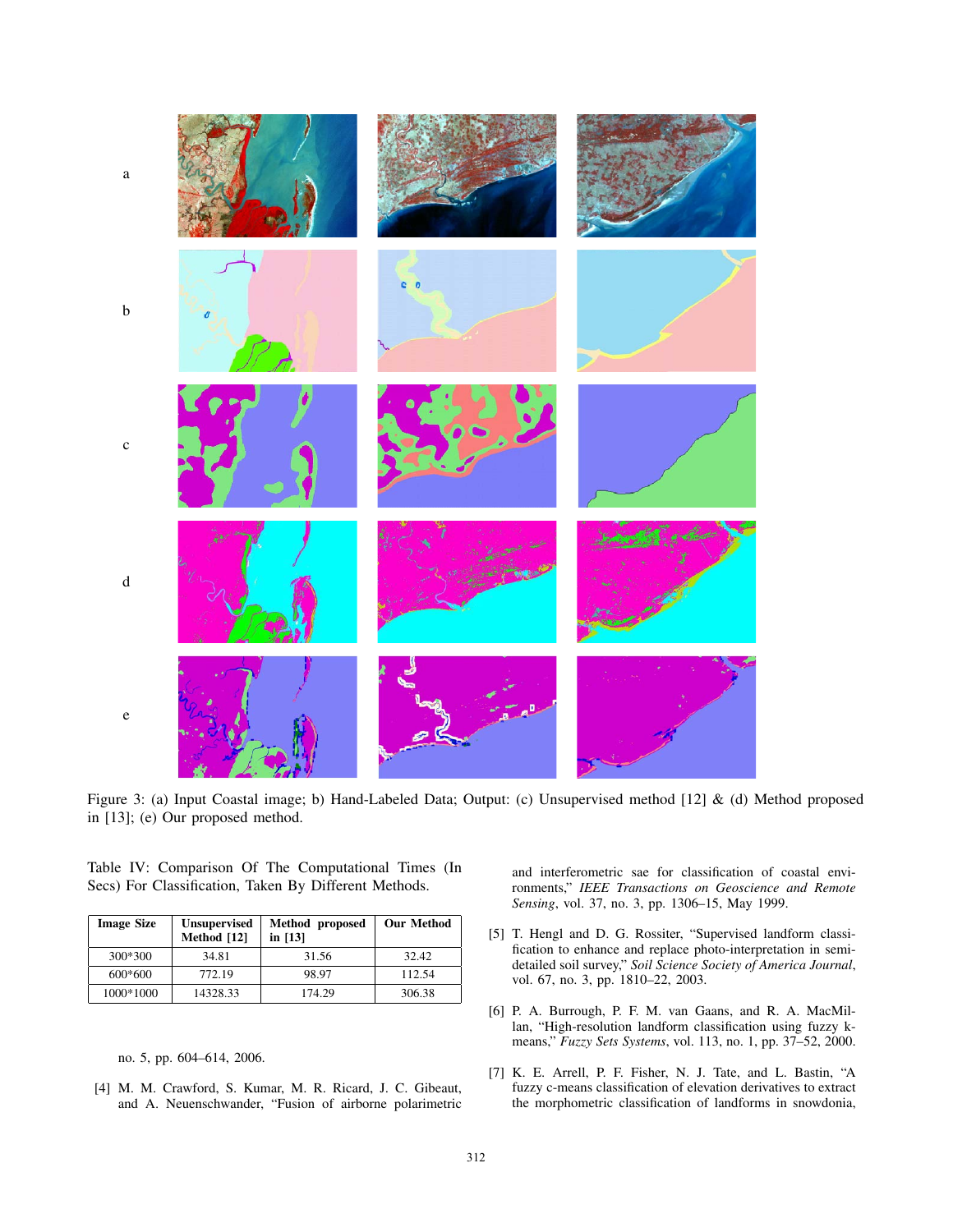

Figure 3: (a) Input Coastal image; b) Hand-Labeled Data; Output: (c) Unsupervised method [12] & (d) Method proposed in [13]; (e) Our proposed method.

Table IV: Comparison Of The Computational Times (In Secs) For Classification, Taken By Different Methods.

| <b>Image Size</b> | <b>Unsupervised</b><br>Method [12] | Method proposed<br>in $[13]$ | <b>Our Method</b> |
|-------------------|------------------------------------|------------------------------|-------------------|
| 300*300           | 34.81                              | 31.56                        | 32.42             |
| 600*600           | 772.19                             | 98.97                        | 112.54            |
| 1000*1000         | 14328.33                           | 174.29                       | 306.38            |

no. 5, pp. 604–614, 2006.

[4] M. M. Crawford, S. Kumar, M. R. Ricard, J. C. Gibeaut, and A. Neuenschwander, "Fusion of airborne polarimetric and interferometric sae for classification of coastal environments," *IEEE Transactions on Geoscience and Remote Sensing*, vol. 37, no. 3, pp. 1306–15, May 1999.

- [5] T. Hengl and D. G. Rossiter, "Supervised landform classification to enhance and replace photo-interpretation in semidetailed soil survey," *Soil Science Society of America Journal*, vol. 67, no. 3, pp. 1810–22, 2003.
- [6] P. A. Burrough, P. F. M. van Gaans, and R. A. MacMillan, "High-resolution landform classification using fuzzy kmeans," *Fuzzy Sets Systems*, vol. 113, no. 1, pp. 37–52, 2000.
- [7] K. E. Arrell, P. F. Fisher, N. J. Tate, and L. Bastin, "A fuzzy c-means classification of elevation derivatives to extract the morphometric classification of landforms in snowdonia,